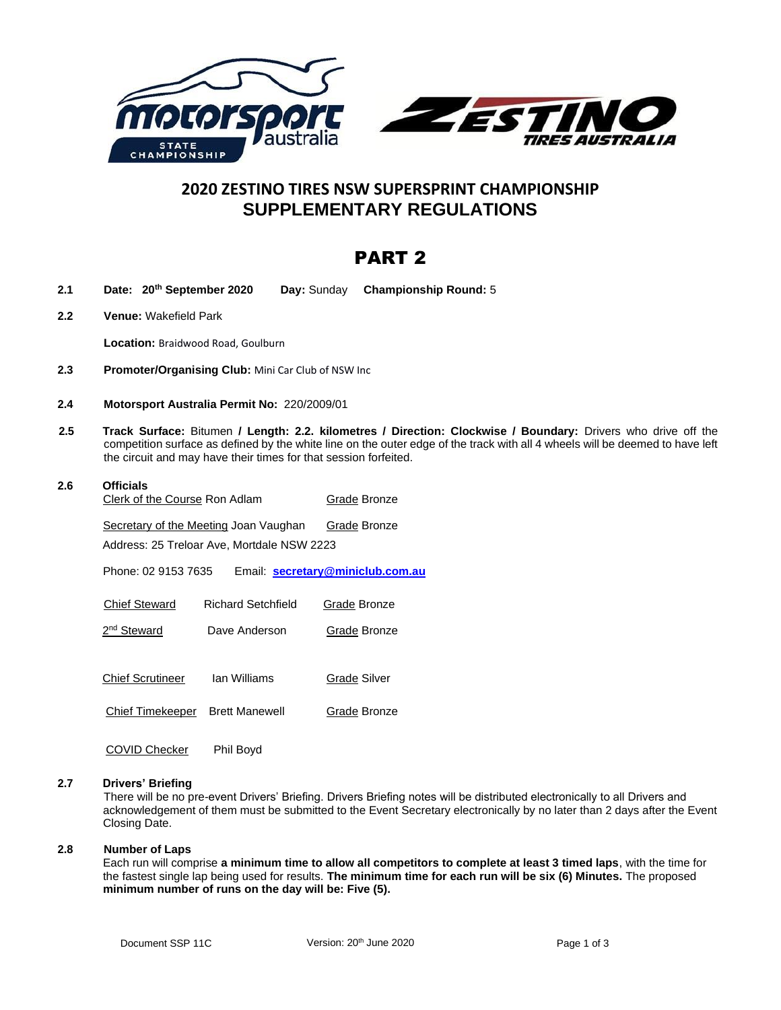

# **2020 ZESTINO TIRES NSW SUPERSPRINT CHAMPIONSHIP SUPPLEMENTARY REGULATIONS**

# PART 2

- **2.1 Date: 20th September 2020 Day:** Sunday **Championship Round:** 5
- **2.2 Venue:** Wakefield Park

**Location:** Braidwood Road, Goulburn

- **2.3 Promoter/Organising Club:** Mini Car Club of NSW Inc
- **2.4 Motorsport Australia Permit No:** 220/2009/01
- **2.5 Track Surface:** Bitumen **/ Length: 2.2. kilometres / Direction: Clockwise / Boundary:** Drivers who drive off the competition surface as defined by the white line on the outer edge of the track with all 4 wheels will be deemed to have left the circuit and may have their times for that session forfeited.

| 2.6 | <b>Officials</b><br>Clerk of the Course Ron Adlam |                       | Grade Bronze                     |
|-----|---------------------------------------------------|-----------------------|----------------------------------|
|     |                                                   |                       |                                  |
|     | Secretary of the Meeting Joan Vaughan             |                       | Grade Bronze                     |
|     | Address: 25 Treloar Ave, Mortdale NSW 2223        |                       |                                  |
|     | Phone: 02 9153 7635                               |                       | Email: secretary@miniclub.com.au |
|     | <b>Chief Steward</b>                              | Richard Setchfield    | Grade Bronze                     |
|     | 2 <sup>nd</sup> Steward                           | Dave Anderson         | Grade Bronze                     |
|     |                                                   |                       |                                  |
|     | <b>Chief Scrutineer</b>                           | lan Williams          | Grade Silver                     |
|     | Chief Timekeeper                                  | <b>Brett Manewell</b> | Grade Bronze                     |
|     |                                                   |                       |                                  |

COVID Checker Phil Boyd

# **2.7 Drivers' Briefing**

There will be no pre-event Drivers' Briefing. Drivers Briefing notes will be distributed electronically to all Drivers and acknowledgement of them must be submitted to the Event Secretary electronically by no later than 2 days after the Event Closing Date.

# **2.8 Number of Laps**

Each run will comprise **a minimum time to allow all competitors to complete at least 3 timed laps**, with the time for the fastest single lap being used for results. **The minimum time for each run will be six (6) Minutes.** The proposed **minimum number of runs on the day will be: Five (5).**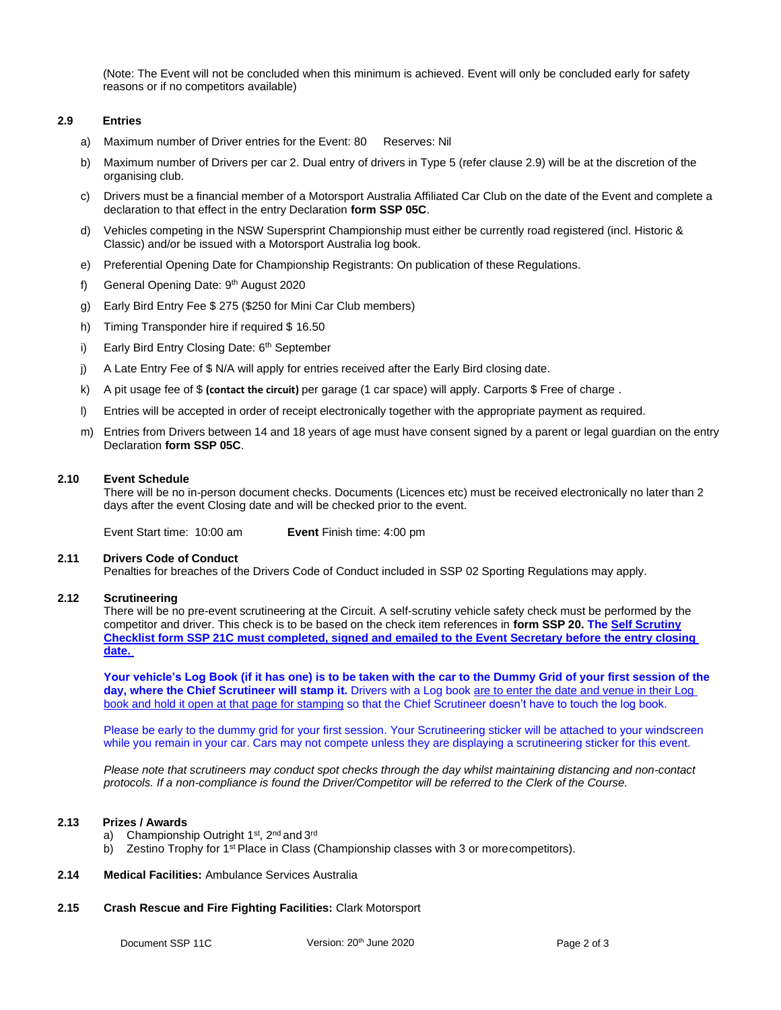(Note: The Event will not be concluded when this minimum is achieved. Event will only be concluded early for safety reasons or if no competitors available)

# **2.9 Entries**

- a) Maximum number of Driver entries for the Event: 80 Reserves: Nil
- b) Maximum number of Drivers per car 2. Dual entry of drivers in Type 5 (refer clause 2.9) will be at the discretion of the organising club.
- c) Drivers must be a financial member of a Motorsport Australia Affiliated Car Club on the date of the Event and complete a declaration to that effect in the entry Declaration **form SSP 05C**.
- d) Vehicles competing in the NSW Supersprint Championship must either be currently road registered (incl. Historic & Classic) and/or be issued with a Motorsport Australia log book.
- e) Preferential Opening Date for Championship Registrants: On publication of these Regulations.
- f) General Opening Date: 9<sup>th</sup> August 2020
- g) Early Bird Entry Fee \$ 275 (\$250 for Mini Car Club members)
- h) Timing Transponder hire if required \$ 16.50
- i) Early Bird Entry Closing Date: 6<sup>th</sup> September
- j) A Late Entry Fee of \$ N/A will apply for entries received after the Early Bird closing date.
- k) A pit usage fee of \$ **(contact the circuit)** per garage (1 car space) will apply. Carports \$ Free of charge .
- l) Entries will be accepted in order of receipt electronically together with the appropriate payment as required.
- m) Entries from Drivers between 14 and 18 years of age must have consent signed by a parent or legal guardian on the entry Declaration **form SSP 05C**.

#### **2.10 Event Schedule**

There will be no in-person document checks. Documents (Licences etc) must be received electronically no later than 2 days after the event Closing date and will be checked prior to the event.

Event Start time: 10:00 am **Event** Finish time: 4:00 pm

#### **2.11 Drivers Code of Conduct**

Penalties for breaches of the Drivers Code of Conduct included in SSP 02 Sporting Regulations may apply.

# **2.12 Scrutineering**

There will be no pre-event scrutineering at the Circuit. A self-scrutiny vehicle safety check must be performed by the competitor and driver. This check is to be based on the check item references in **form SSP 20. The Self Scrutiny Checklist form SSP 21C must completed, signed and emailed to the Event Secretary before the entry closing date.** 

**Your vehicle's Log Book (if it has one) is to be taken with the car to the Dummy Grid of your first session of the day, where the Chief Scrutineer will stamp it.** Drivers with a Log book are to enter the date and venue in their Log book and hold it open at that page for stamping so that the Chief Scrutineer doesn't have to touch the log book.

Please be early to the dummy grid for your first session. Your Scrutineering sticker will be attached to your windscreen while you remain in your car. Cars may not compete unless they are displaying a scrutineering sticker for this event.

*Please note that scrutineers may conduct spot checks through the day whilst maintaining distancing and non-contact protocols. If a non-compliance is found the Driver/Competitor will be referred to the Clerk of the Course.*

#### **2.13 Prizes / Awards**

- a) Championship Outright 1<sup>st</sup>, 2<sup>nd</sup> and 3<sup>rd</sup>
- b) Zestino Trophy for 1<sup>st</sup> Place in Class (Championship classes with 3 or more competitors).
- **2.14 Medical Facilities:** Ambulance Services Australia
- **2.15 Crash Rescue and Fire Fighting Facilities:** Clark Motorsport